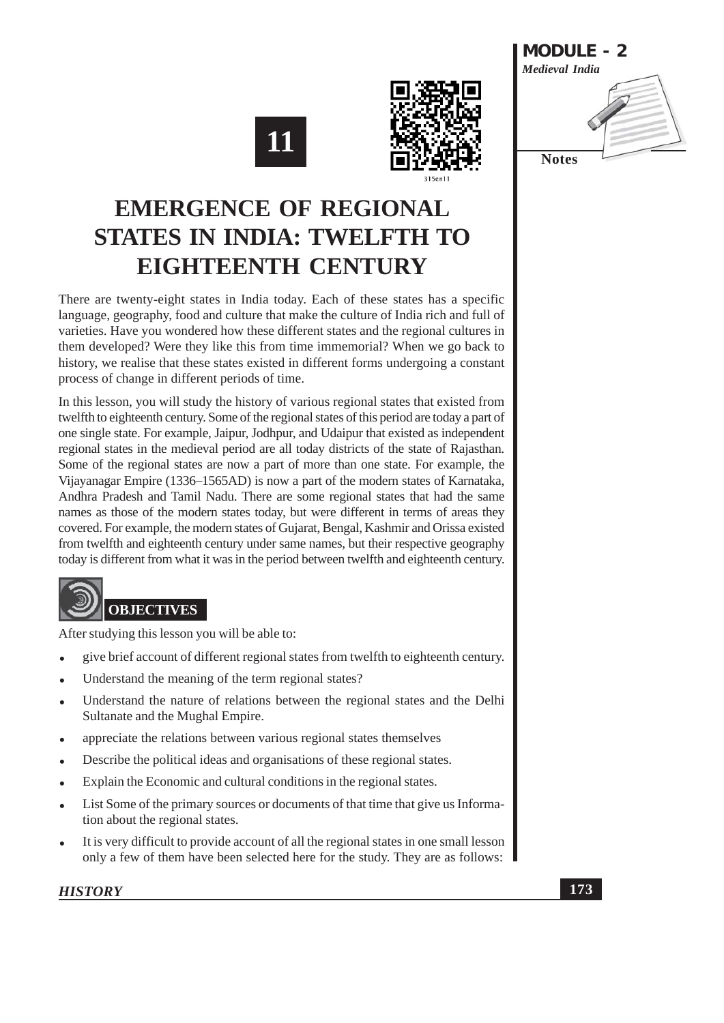





# **EMERGENCE OF REGIONAL STATES IN INDIA: TWELFTH TO** EIGHTEENTH CENTURY

There are twenty-eight states in India today. Each of these states has a specific language, geography, food and culture that make the culture of India rich and full of varieties. Have you wondered how these different states and the regional cultures in them developed? Were they like this from time immemorial? When we go back to history, we realise that these states existed in different forms undergoing a constant process of change in different periods of time.

In this lesson, you will study the history of various regional states that existed from twelfth to eighteenth century. Some of the regional states of this period are today a part of one single state. For example, Jaipur, Jodhpur, and Udaipur that existed as independent regional states in the medieval period are all today districts of the state of Rajasthan. Some of the regional states are now a part of more than one state. For example, the Vijayanagar Empire (1336–1565AD) is now a part of the modern states of Karnataka, Andhra Pradesh and Tamil Nadu. There are some regional states that had the same names as those of the modern states today, but were different in terms of areas they covered. For example, the modern states of Guiarat, Bengal, Kashmir and Orissa existed from twelfth and eighteenth century under same names, but their respective geography today is different from what it was in the period between twelfth and eighteenth century.



After studying this lesson you will be able to:

- give brief account of different regional states from twelfth to eighteenth century.
- Understand the meaning of the term regional states?
- Understand the nature of relations between the regional states and the Delhi Sultanate and the Mughal Empire.
- appreciate the relations between various regional states themselves
- Describe the political ideas and organisations of these regional states.
- Explain the Economic and cultural conditions in the regional states.
- List Some of the primary sources or documents of that time that give us Information about the regional states.
- It is very difficult to provide account of all the regional states in one small lesson only a few of them have been selected here for the study. They are as follows: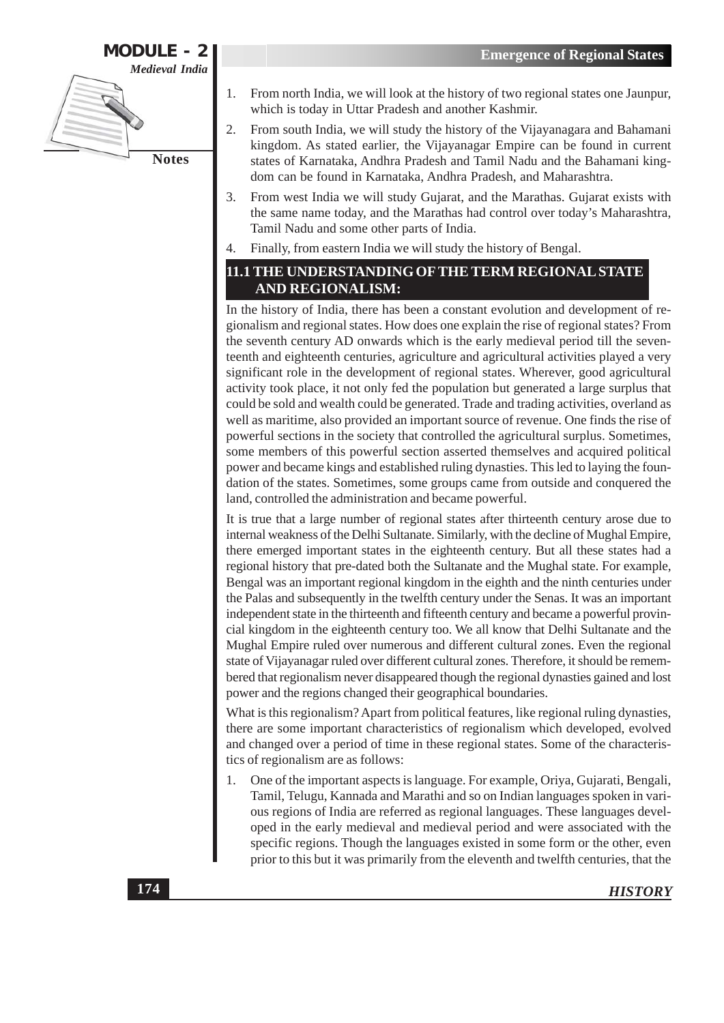

- From north India, we will look at the history of two regional states one Jaunpur, 1. which is today in Uttar Pradesh and another Kashmir.
- $\overline{2}$ . From south India, we will study the history of the Vijayanagara and Bahamani kingdom. As stated earlier, the Vijayanagar Empire can be found in current states of Karnataka, Andhra Pradesh and Tamil Nadu and the Bahamani kingdom can be found in Karnataka, Andhra Pradesh, and Maharashtra.
- $3.$ From west India we will study Gujarat, and the Marathas. Gujarat exists with the same name today, and the Marathas had control over today's Maharashtra, Tamil Nadu and some other parts of India.
- Finally, from eastern India we will study the history of Bengal.

# 11.1 THE UNDERSTANDING OF THE TERM REGIONAL STATE **AND REGIONALISM:**

In the history of India, there has been a constant evolution and development of regionalism and regional states. How does one explain the rise of regional states? From the seventh century AD onwards which is the early medieval period till the seventeenth and eighteenth centuries, agriculture and agricultural activities played a very significant role in the development of regional states. Wherever, good agricultural activity took place, it not only fed the population but generated a large surplus that could be sold and wealth could be generated. Trade and trading activities, overland as well as maritime, also provided an important source of revenue. One finds the rise of powerful sections in the society that controlled the agricultural surplus. Sometimes, some members of this powerful section asserted themselves and acquired political power and became kings and established ruling dynasties. This led to laying the foundation of the states. Sometimes, some groups came from outside and conquered the land, controlled the administration and became powerful.

It is true that a large number of regional states after thirteenth century arose due to internal weakness of the Delhi Sultanate. Similarly, with the decline of Mughal Empire, there emerged important states in the eighteenth century. But all these states had a regional history that pre-dated both the Sultanate and the Mughal state. For example, Bengal was an important regional kingdom in the eighth and the ninth centuries under the Palas and subsequently in the twelfth century under the Senas. It was an important independent state in the thirteenth and fifteenth century and became a powerful provincial kingdom in the eighteenth century too. We all know that Delhi Sultanate and the Mughal Empire ruled over numerous and different cultural zones. Even the regional state of Vijayanagar ruled over different cultural zones. Therefore, it should be remembered that regionalism never disappeared though the regional dynasties gained and lost power and the regions changed their geographical boundaries.

What is this regionalism? Apart from political features, like regional ruling dynasties, there are some important characteristics of regionalism which developed, evolved and changed over a period of time in these regional states. Some of the characteristics of regionalism are as follows:

One of the important aspects is language. For example, Oriya, Gujarati, Bengali,  $1<sub>1</sub>$ Tamil, Telugu, Kannada and Marathi and so on Indian languages spoken in various regions of India are referred as regional languages. These languages developed in the early medieval and medieval period and were associated with the specific regions. Though the languages existed in some form or the other, even prior to this but it was primarily from the eleventh and twelfth centuries, that the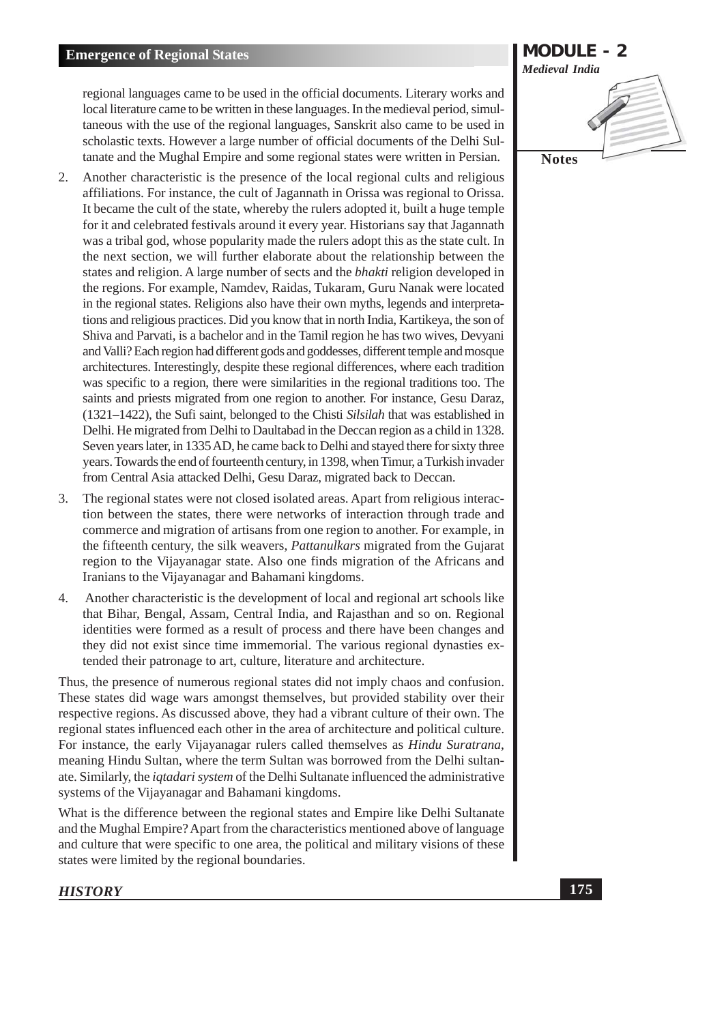regional languages came to be used in the official documents. Literary works and local literature came to be written in these languages. In the medieval period, simultaneous with the use of the regional languages, Sanskrit also came to be used in scholastic texts. However a large number of official documents of the Delhi Sultanate and the Mughal Empire and some regional states were written in Persian.

- 2. Another characteristic is the presence of the local regional cults and religious affiliations. For instance, the cult of Jagannath in Orissa was regional to Orissa. It became the cult of the state, whereby the rulers adopted it, built a huge temple for it and celebrated festivals around it every year. Historians say that Jagannath was a tribal god, whose popularity made the rulers adopt this as the state cult. In the next section, we will further elaborate about the relationship between the states and religion. A large number of sects and the *bhakti* religion developed in the regions. For example, Namdev, Raidas, Tukaram, Guru Nanak were located in the regional states. Religions also have their own myths, legends and interpretations and religious practices. Did you know that in north India, Kartikeya, the son of Shiva and Parvati, is a bachelor and in the Tamil region he has two wives, Devyani and Valli? Each region had different gods and goddesses, different temple and mosque architectures. Interestingly, despite these regional differences, where each tradition was specific to a region, there were similarities in the regional traditions too. The saints and priests migrated from one region to another. For instance, Gesu Daraz, (1321–1422), the Sufi saint, belonged to the Chisti Silsilah that was established in Delhi. He migrated from Delhi to Daultabad in the Deccan region as a child in 1328. Seven years later, in 1335 AD, he came back to Delhi and stayed there for sixty three years. Towards the end of fourteenth century, in 1398, when Timur, a Turkish invader from Central Asia attacked Delhi, Gesu Daraz, migrated back to Deccan.
- The regional states were not closed isolated areas. Apart from religious interac- $3.$ tion between the states, there were networks of interaction through trade and commerce and migration of artisans from one region to another. For example, in the fifteenth century, the silk weavers, *Pattanulkars* migrated from the Gujarat region to the Vijayanagar state. Also one finds migration of the Africans and Iranians to the Vijayanagar and Bahamani kingdoms.
- Another characteristic is the development of local and regional art schools like  $\overline{4}$ that Bihar, Bengal, Assam, Central India, and Rajasthan and so on. Regional identities were formed as a result of process and there have been changes and they did not exist since time immemorial. The various regional dynasties extended their patronage to art, culture, literature and architecture.

Thus, the presence of numerous regional states did not imply chaos and confusion. These states did wage wars amongst themselves, but provided stability over their respective regions. As discussed above, they had a vibrant culture of their own. The regional states influenced each other in the area of architecture and political culture. For instance, the early Vijayanagar rulers called themselves as *Hindu Suratrana*, meaning Hindu Sultan, where the term Sultan was borrowed from the Delhi sultanate. Similarly, the *iqtadari system* of the Delhi Sultanate influenced the administrative systems of the Vijayanagar and Bahamani kingdoms.

What is the difference between the regional states and Empire like Delhi Sultanate and the Mughal Empire? Apart from the characteristics mentioned above of language and culture that were specific to one area, the political and military visions of these states were limited by the regional boundaries.

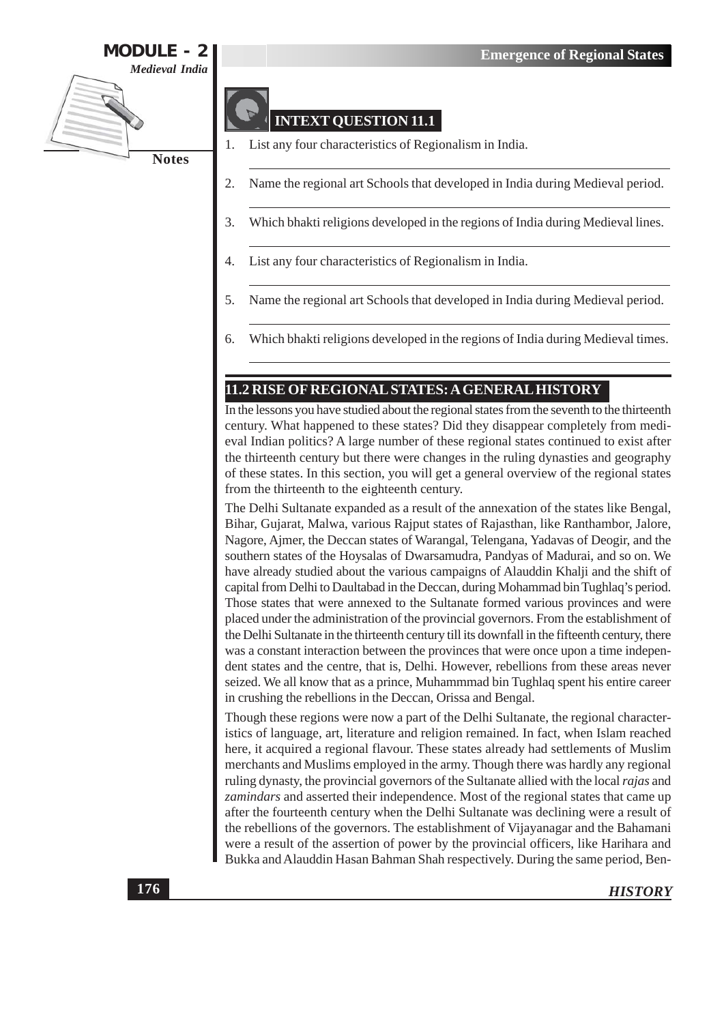

# **INTEXT QUESTION 11.1**

- List any four characteristics of Regionalism in India.
- Name the regional art Schools that developed in India during Medieval period. 2.
- 3. Which bhakti religions developed in the regions of India during Medieval lines.
- List any four characteristics of Regionalism in India. 4.
- 5. Name the regional art Schools that developed in India during Medieval period.
- Which bhakti religions developed in the regions of India during Medieval times. 6.

# 11.2 RISE OF REGIONAL STATES: A GENERAL HISTORY

In the lessons you have studied about the regional states from the seventh to the thirteenth century. What happened to these states? Did they disappear completely from medieval Indian politics? A large number of these regional states continued to exist after the thirteenth century but there were changes in the ruling dynasties and geography of these states. In this section, you will get a general overview of the regional states from the thirteenth to the eighteenth century.

The Delhi Sultanate expanded as a result of the annexation of the states like Bengal, Bihar, Gujarat, Malwa, various Rajput states of Rajasthan, like Ranthambor, Jalore, Nagore, Ajmer, the Deccan states of Warangal, Telengana, Yadavas of Deogir, and the southern states of the Hoysalas of Dwarsamudra, Pandyas of Madurai, and so on. We have already studied about the various campaigns of Alauddin Khalji and the shift of capital from Delhi to Daultabad in the Deccan, during Mohammad bin Tughlaq's period. Those states that were annexed to the Sultanate formed various provinces and were placed under the administration of the provincial governors. From the establishment of the Delhi Sultanate in the thirteenth century till its downfall in the fifteenth century, there was a constant interaction between the provinces that were once upon a time independent states and the centre, that is, Delhi. However, rebellions from these areas never seized. We all know that as a prince, Muhammmad bin Tughlaq spent his entire career in crushing the rebellions in the Deccan, Orissa and Bengal.

Though these regions were now a part of the Delhi Sultanate, the regional characteristics of language, art, literature and religion remained. In fact, when Islam reached here, it acquired a regional flavour. These states already had settlements of Muslim merchants and Muslims employed in the army. Though there was hardly any regional ruling dynasty, the provincial governors of the Sultanate allied with the local rajas and *zamindars* and asserted their independence. Most of the regional states that came up after the fourteenth century when the Delhi Sultanate was declining were a result of the rebellions of the governors. The establishment of Vijayanagar and the Bahamani were a result of the assertion of power by the provincial officers, like Harihara and Bukka and Alauddin Hasan Bahman Shah respectively. During the same period, Ben-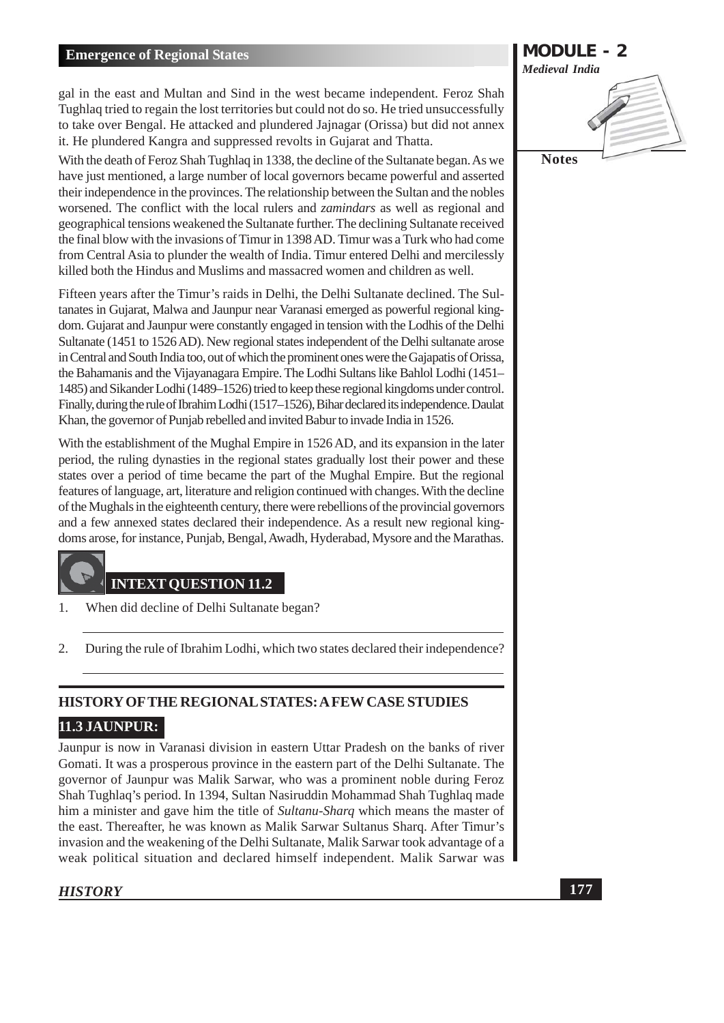gal in the east and Multan and Sind in the west became independent. Feroz Shah Tughlaq tried to regain the lost territories but could not do so. He tried unsuccessfully to take over Bengal. He attacked and plundered Jajnagar (Orissa) but did not annex it. He plundered Kangra and suppressed revolts in Gujarat and Thatta.

With the death of Feroz Shah Tughlaq in 1338, the decline of the Sultanate began. As we have just mentioned, a large number of local governors became powerful and asserted their independence in the provinces. The relationship between the Sultan and the nobles worsened. The conflict with the local rulers and *zamindars* as well as regional and geographical tensions weakened the Sultanate further. The declining Sultanate received the final blow with the invasions of Timur in 1398 AD. Timur was a Turk who had come from Central Asia to plunder the wealth of India. Timur entered Delhi and mercilessly killed both the Hindus and Muslims and massacred women and children as well.

Fifteen years after the Timur's raids in Delhi, the Delhi Sultanate declined. The Sultanates in Gujarat, Malwa and Jaunpur near Varanasi emerged as powerful regional kingdom. Gujarat and Jaunpur were constantly engaged in tension with the Lodhis of the Delhi Sultanate (1451 to 1526 AD). New regional states independent of the Delhi sultanate arose in Central and South India too, out of which the prominent ones were the Gajapatis of Orissa, the Bahamanis and the Vijayanagara Empire. The Lodhi Sultans like Bahlol Lodhi (1451– 1485) and Sikander Lodhi (1489–1526) tried to keep these regional kingdoms under control. Finally, during the rule of Ibrahim Lodhi (1517–1526), Bihar declared its independence. Daulat Khan, the governor of Punjab rebelled and invited Babur to invade India in 1526.

With the establishment of the Mughal Empire in 1526 AD, and its expansion in the later period, the ruling dynasties in the regional states gradually lost their power and these states over a period of time became the part of the Mughal Empire. But the regional features of language, art, literature and religion continued with changes. With the decline of the Mughals in the eighteenth century, there were rebellions of the provincial governors and a few annexed states declared their independence. As a result new regional kingdoms arose, for instance, Punjab, Bengal, Awadh, Hyderabad, Mysore and the Marathas.

# **INTEXT QUESTION 11.2**

- $\mathbf{1}$ When did decline of Delhi Sultanate began?
- $\overline{2}$ . During the rule of Ibrahim Lodhi, which two states declared their independence?

# HISTORY OF THE REGIONAL STATES: A FEW CASE STUDIES

#### **11.3 JAUNPUR:**

Jaunpur is now in Varanasi division in eastern Uttar Pradesh on the banks of river Gomati. It was a prosperous province in the eastern part of the Delhi Sultanate. The governor of Jaunpur was Malik Sarwar, who was a prominent noble during Feroz Shah Tughlaq's period. In 1394, Sultan Nasiruddin Mohammad Shah Tughlaq made him a minister and gave him the title of *Sultanu-Sharg* which means the master of the east. Thereafter, he was known as Malik Sarwar Sultanus Sharq. After Timur's invasion and the weakening of the Delhi Sultanate, Malik Sarwar took advantage of a weak political situation and declared himself independent. Malik Sarwar was

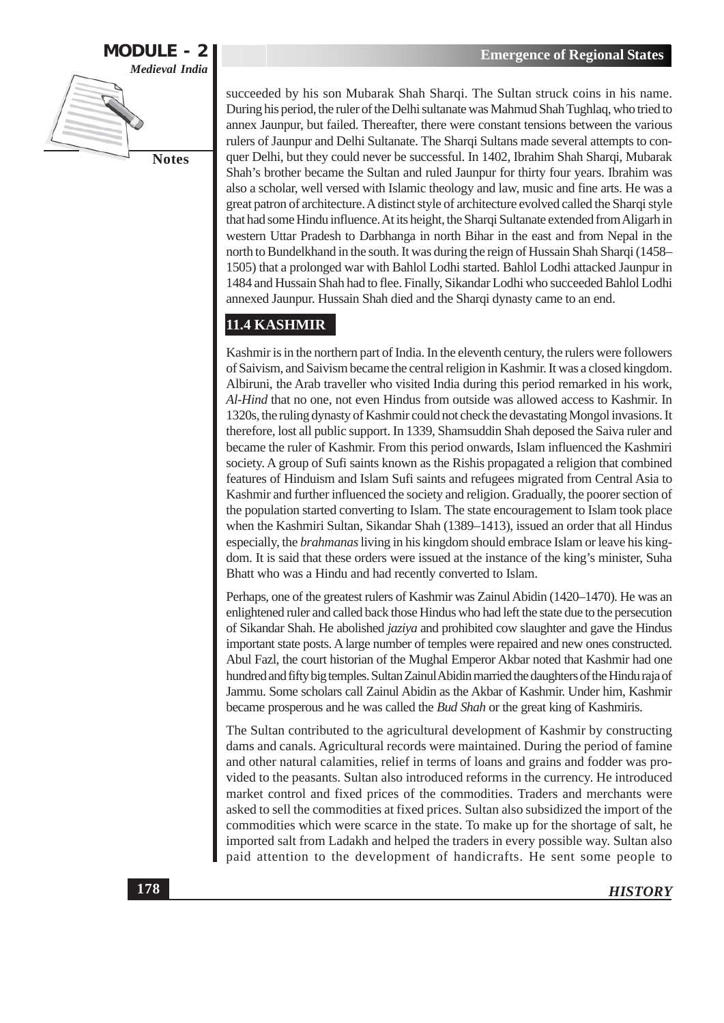

succeeded by his son Mubarak Shah Sharqi. The Sultan struck coins in his name. During his period, the ruler of the Delhi sultanate was Mahmud Shah Tughlaq, who tried to annex Jaunpur, but failed. Thereafter, there were constant tensions between the various rulers of Jaunpur and Delhi Sultanate. The Sharqi Sultans made several attempts to conquer Delhi, but they could never be successful. In 1402, Ibrahim Shah Sharqi, Mubarak Shah's brother became the Sultan and ruled Jaunpur for thirty four years. Ibrahim was also a scholar, well versed with Islamic theology and law, music and fine arts. He was a great patron of architecture. A distinct style of architecture evolved called the Sharqi style that had some Hindu influence. At its height, the Sharqi Sultanate extended from Aligarh in western Uttar Pradesh to Darbhanga in north Bihar in the east and from Nepal in the north to Bundelkhand in the south. It was during the reign of Hussain Shah Sharqi (1458– 1505) that a prolonged war with Bahlol Lodhi started. Bahlol Lodhi attacked Jaunpur in 1484 and Hussain Shah had to flee. Finally, Sikandar Lodhi who succeeded Bahlol Lodhi annexed Jaunpur. Hussain Shah died and the Sharqi dynasty came to an end.

# 11.4 KASHMIR

Kashmir is in the northern part of India. In the eleventh century, the rulers were followers of Saivism, and Saivism became the central religion in Kashmir. It was a closed kingdom. Albiruni, the Arab traveller who visited India during this period remarked in his work, Al-Hind that no one, not even Hindus from outside was allowed access to Kashmir. In 1320s, the ruling dynasty of Kashmir could not check the devastating Mongol invasions. It therefore, lost all public support. In 1339, Shamsuddin Shah deposed the Saiva ruler and became the ruler of Kashmir. From this period onwards, Islam influenced the Kashmiri society. A group of Sufi saints known as the Rishis propagated a religion that combined features of Hinduism and Islam Sufi saints and refugees migrated from Central Asia to Kashmir and further influenced the society and religion. Gradually, the poorer section of the population started converting to Islam. The state encouragement to Islam took place when the Kashmiri Sultan, Sikandar Shah (1389–1413), issued an order that all Hindus especially, the *brahmanas* living in his kingdom should embrace Islam or leave his kingdom. It is said that these orders were issued at the instance of the king's minister, Suha Bhatt who was a Hindu and had recently converted to Islam.

Perhaps, one of the greatest rulers of Kashmir was Zainul Abidin (1420–1470). He was an enlightened ruler and called back those Hindus who had left the state due to the persecution of Sikandar Shah. He abolished jaziya and prohibited cow slaughter and gave the Hindus important state posts. A large number of temples were repaired and new ones constructed. Abul Fazl, the court historian of the Mughal Emperor Akbar noted that Kashmir had one hundred and fifty big temples. Sultan Zainul Abidin married the daughters of the Hindu raja of Jammu. Some scholars call Zainul Abidin as the Akbar of Kashmir. Under him, Kashmir became prosperous and he was called the *Bud Shah* or the great king of Kashmiris.

The Sultan contributed to the agricultural development of Kashmir by constructing dams and canals. Agricultural records were maintained. During the period of famine and other natural calamities, relief in terms of loans and grains and fodder was provided to the peasants. Sultan also introduced reforms in the currency. He introduced market control and fixed prices of the commodities. Traders and merchants were asked to sell the commodities at fixed prices. Sultan also subsidized the import of the commodities which were scarce in the state. To make up for the shortage of salt, he imported salt from Ladakh and helped the traders in every possible way. Sultan also paid attention to the development of handicrafts. He sent some people to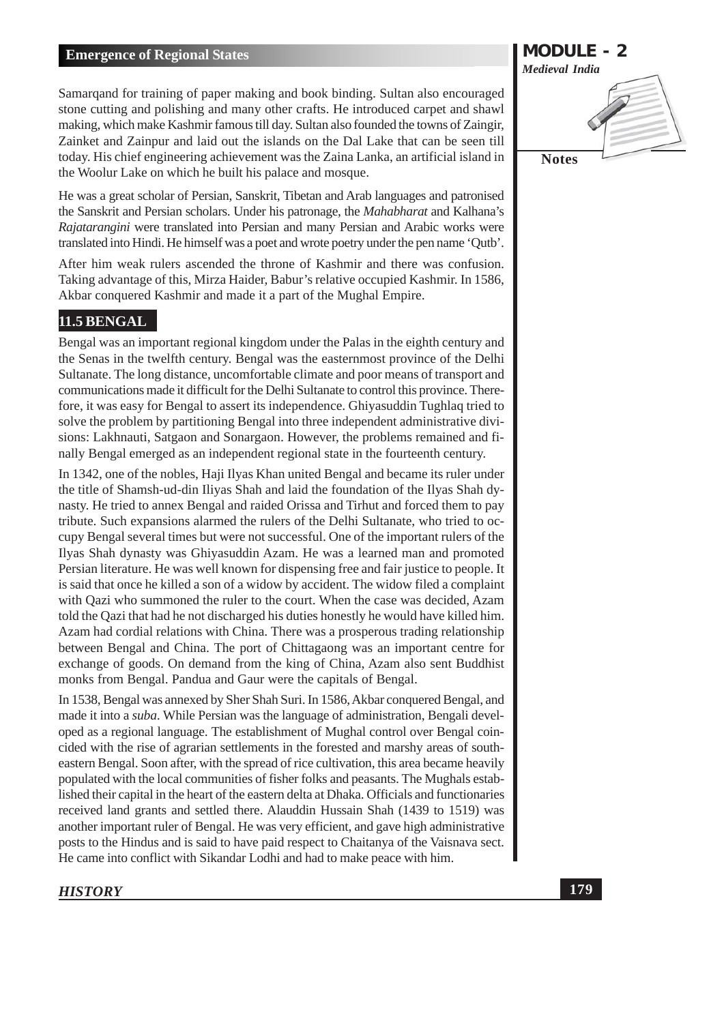Samarqand for training of paper making and book binding. Sultan also encouraged stone cutting and polishing and many other crafts. He introduced carpet and shawl making, which make Kashmir famous till day. Sultan also founded the towns of Zaingir, Zainket and Zainpur and laid out the islands on the Dal Lake that can be seen till today. His chief engineering achievement was the Zaina Lanka, an artificial island in the Woolur Lake on which he built his palace and mosque.

He was a great scholar of Persian, Sanskrit, Tibetan and Arab languages and patronised the Sanskrit and Persian scholars. Under his patronage, the Mahabharat and Kalhana's Rajatarangini were translated into Persian and many Persian and Arabic works were translated into Hindi. He himself was a poet and wrote poetry under the pen name 'Qutb'.

After him weak rulers ascended the throne of Kashmir and there was confusion. Taking advantage of this, Mirza Haider, Babur's relative occupied Kashmir. In 1586, Akbar conquered Kashmir and made it a part of the Mughal Empire.

# 11.5 BENGAL

Bengal was an important regional kingdom under the Palas in the eighth century and the Senas in the twelfth century. Bengal was the easternmost province of the Delhi Sultanate. The long distance, uncomfortable climate and poor means of transport and communications made it difficult for the Delhi Sultanate to control this province. Therefore, it was easy for Bengal to assert its independence. Ghiyasuddin Tughlaq tried to solve the problem by partitioning Bengal into three independent administrative divisions: Lakhnauti, Satgaon and Sonargaon. However, the problems remained and finally Bengal emerged as an independent regional state in the fourteenth century.

In 1342, one of the nobles, Haji Ilyas Khan united Bengal and became its ruler under the title of Shamsh-ud-din Iliyas Shah and laid the foundation of the Ilyas Shah dynasty. He tried to annex Bengal and raided Orissa and Tirhut and forced them to pay tribute. Such expansions alarmed the rulers of the Delhi Sultanate, who tried to occupy Bengal several times but were not successful. One of the important rulers of the Ilyas Shah dynasty was Ghiyasuddin Azam. He was a learned man and promoted Persian literature. He was well known for dispensing free and fair justice to people. It is said that once he killed a son of a widow by accident. The widow filed a complaint with Oazi who summoned the ruler to the court. When the case was decided, Azam told the Qazi that had he not discharged his duties honestly he would have killed him. Azam had cordial relations with China. There was a prosperous trading relationship between Bengal and China. The port of Chittagaong was an important centre for exchange of goods. On demand from the king of China, Azam also sent Buddhist monks from Bengal. Pandua and Gaur were the capitals of Bengal.

In 1538, Bengal was annexed by Sher Shah Suri. In 1586, Akbar conquered Bengal, and made it into a *suba*. While Persian was the language of administration, Bengali developed as a regional language. The establishment of Mughal control over Bengal coincided with the rise of agrarian settlements in the forested and marshy areas of southeastern Bengal. Soon after, with the spread of rice cultivation, this area became heavily populated with the local communities of fisher folks and peasants. The Mughals established their capital in the heart of the eastern delta at Dhaka. Officials and functionaries received land grants and settled there. Alauddin Hussain Shah (1439 to 1519) was another important ruler of Bengal. He was very efficient, and gave high administrative posts to the Hindus and is said to have paid respect to Chaitanya of the Vaisnava sect. He came into conflict with Sikandar Lodhi and had to make peace with him.

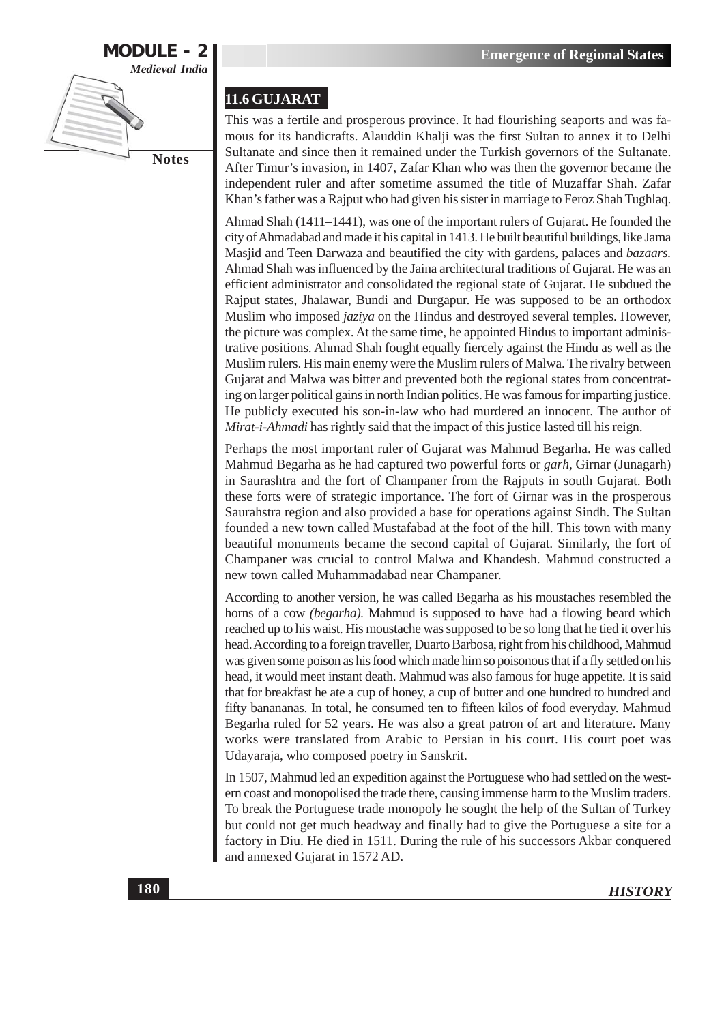

#### 11.6 GUJARAT

This was a fertile and prosperous province. It had flourishing seaports and was famous for its handicrafts. Alauddin Khalji was the first Sultan to annex it to Delhi Sultanate and since then it remained under the Turkish governors of the Sultanate. After Timur's invasion, in 1407, Zafar Khan who was then the governor became the independent ruler and after sometime assumed the title of Muzaffar Shah. Zafar Khan's father was a Rajput who had given his sister in marriage to Feroz Shah Tughlaq.

Ahmad Shah (1411–1441), was one of the important rulers of Gujarat. He founded the city of Ahmadabad and made it his capital in 1413. He built beautiful buildings, like Jama Masjid and Teen Darwaza and beautified the city with gardens, palaces and bazaars. Ahmad Shah was influenced by the Jaina architectural traditions of Gujarat. He was an efficient administrator and consolidated the regional state of Gujarat. He subdued the Rajput states, Jhalawar, Bundi and Durgapur. He was supposed to be an orthodox Muslim who imposed *jaziya* on the Hindus and destroyed several temples. However, the picture was complex. At the same time, he appointed Hindus to important administrative positions. Ahmad Shah fought equally fiercely against the Hindu as well as the Muslim rulers. His main enemy were the Muslim rulers of Malwa. The rivalry between Gujarat and Malwa was bitter and prevented both the regional states from concentrating on larger political gains in north Indian politics. He was famous for imparting justice. He publicly executed his son-in-law who had murdered an innocent. The author of Mirat-i-Ahmadi has rightly said that the impact of this justice lasted till his reign.

Perhaps the most important ruler of Gujarat was Mahmud Begarha. He was called Mahmud Begarha as he had captured two powerful forts or *garh*, Girnar (Junagarh) in Saurashtra and the fort of Champaner from the Rajputs in south Gujarat. Both these forts were of strategic importance. The fort of Girnar was in the prosperous Saurahstra region and also provided a base for operations against Sindh. The Sultan founded a new town called Mustafabad at the foot of the hill. This town with many beautiful monuments became the second capital of Gujarat. Similarly, the fort of Champaner was crucial to control Malwa and Khandesh. Mahmud constructed a new town called Muhammadabad near Champaner.

According to another version, he was called Begarha as his moustaches resembled the horns of a cow *(begarha)*. Mahmud is supposed to have had a flowing beard which reached up to his waist. His moustache was supposed to be so long that he tied it over his head. According to a foreign traveller, Duarto Barbosa, right from his childhood, Mahmud was given some poison as his food which made him so poisonous that if a fly settled on his head, it would meet instant death. Mahmud was also famous for huge appetite. It is said that for breakfast he ate a cup of honey, a cup of butter and one hundred to hundred and fifty banananas. In total, he consumed ten to fifteen kilos of food everyday. Mahmud Begarha ruled for 52 years. He was also a great patron of art and literature. Many works were translated from Arabic to Persian in his court. His court poet was Udayaraja, who composed poetry in Sanskrit.

In 1507, Mahmud led an expedition against the Portuguese who had settled on the western coast and monopolised the trade there, causing immense harm to the Muslim traders. To break the Portuguese trade monopoly he sought the help of the Sultan of Turkey but could not get much headway and finally had to give the Portuguese a site for a factory in Diu. He died in 1511. During the rule of his successors Akbar conquered and annexed Gujarat in 1572 AD.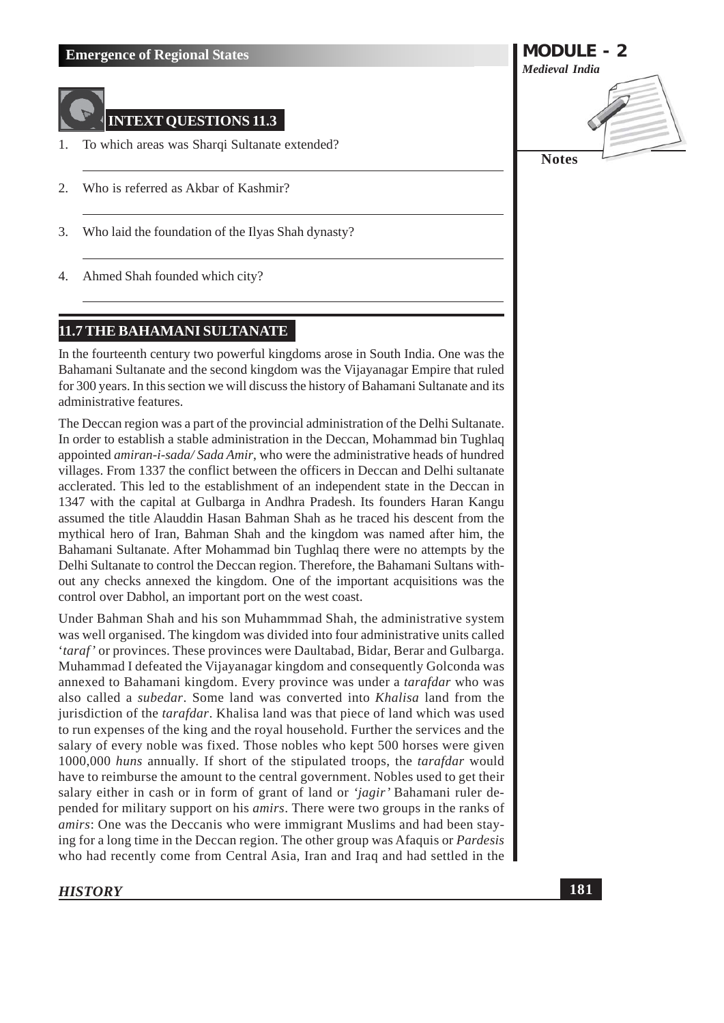

## **INTEXT QUESTIONS 11.3**

- To which areas was Sharqi Sultanate extended?  $\mathbf{1}$ .
- Who is referred as Akbar of Kashmir? 2.
- Who laid the foundation of the Ilyas Shah dynasty? 3.
- Ahmed Shah founded which city? 4.

# 11.7 THE BAHAMANI SULTANATE

In the fourteenth century two powerful kingdoms arose in South India. One was the Bahamani Sultanate and the second kingdom was the Vijayanagar Empire that ruled for 300 years. In this section we will discuss the history of Bahamani Sultanate and its administrative features.

The Deccan region was a part of the provincial administration of the Delhi Sultanate. In order to establish a stable administration in the Deccan, Mohammad bin Tughlaq appointed *amiran-i-sada/Sada Amir*, who were the administrative heads of hundred villages. From 1337 the conflict between the officers in Deccan and Delhi sultanate acclerated. This led to the establishment of an independent state in the Deccan in 1347 with the capital at Gulbarga in Andhra Pradesh. Its founders Haran Kangu assumed the title Alauddin Hasan Bahman Shah as he traced his descent from the mythical hero of Iran, Bahman Shah and the kingdom was named after him, the Bahamani Sultanate. After Mohammad bin Tughlaq there were no attempts by the Delhi Sultanate to control the Deccan region. Therefore, the Bahamani Sultans without any checks annexed the kingdom. One of the important acquisitions was the control over Dabhol, an important port on the west coast.

Under Bahman Shah and his son Muhammmad Shah, the administrative system was well organised. The kingdom was divided into four administrative units called *'taraf'* or provinces. These provinces were Daultabad, Bidar, Berar and Gulbarga. Muhammad I defeated the Vijayanagar kingdom and consequently Golconda was annexed to Bahamani kingdom. Every province was under a *tarafdar* who was also called a *subedar*. Some land was converted into *Khalisa* land from the jurisdiction of the *tarafdar*. Khalisa land was that piece of land which was used to run expenses of the king and the royal household. Further the services and the salary of every noble was fixed. Those nobles who kept 500 horses were given 1000,000 huns annually. If short of the stipulated troops, the tarafdar would have to reimburse the amount to the central government. Nobles used to get their salary either in cash or in form of grant of land or 'jagir' Bahamani ruler depended for military support on his *amirs*. There were two groups in the ranks of *amirs*: One was the Deccanis who were immigrant Muslims and had been staying for a long time in the Deccan region. The other group was Afaquis or *Pardesis* who had recently come from Central Asia, Iran and Iraq and had settled in the

# **HISTORY**

**MODULE - 2 Medieval India** 

**Notes**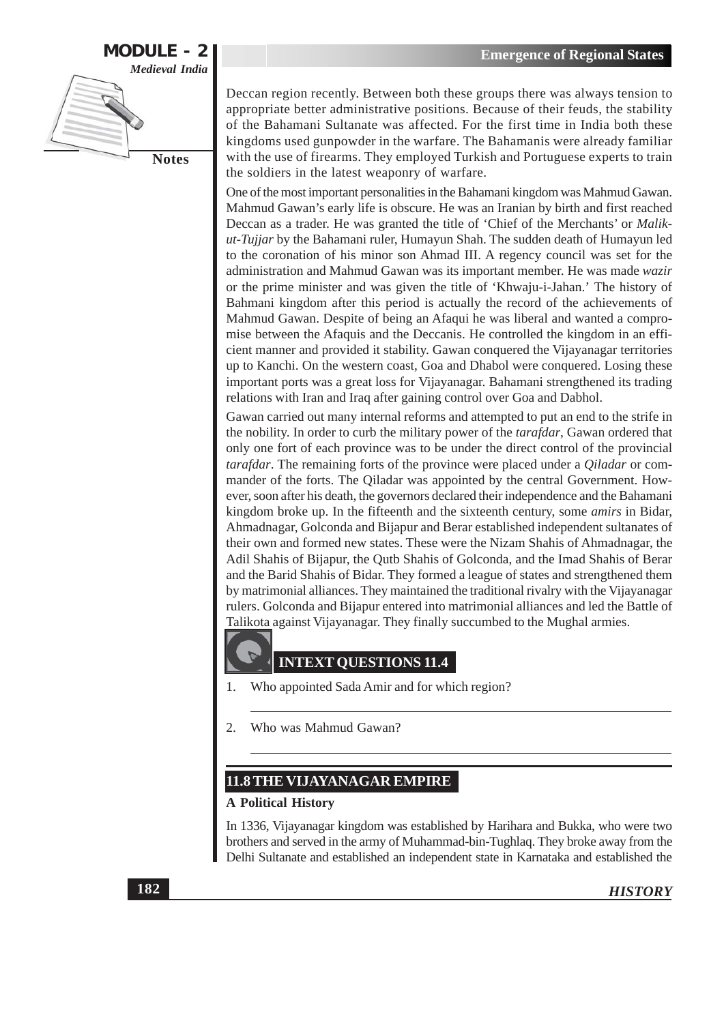

Deccan region recently. Between both these groups there was always tension to appropriate better administrative positions. Because of their feuds, the stability of the Bahamani Sultanate was affected. For the first time in India both these kingdoms used gunpowder in the warfare. The Bahamanis were already familiar with the use of firearms. They employed Turkish and Portuguese experts to train the soldiers in the latest weaponry of warfare.

One of the most important personalities in the Bahamani kingdom was Mahmud Gawan. Mahmud Gawan's early life is obscure. He was an Iranian by birth and first reached Deccan as a trader. He was granted the title of 'Chief of the Merchants' or *Malik*ut-Tujjar by the Bahamani ruler, Humayun Shah. The sudden death of Humayun led to the coronation of his minor son Ahmad III. A regency council was set for the administration and Mahmud Gawan was its important member. He was made wazir or the prime minister and was given the title of 'Khwaju-i-Jahan.' The history of Bahmani kingdom after this period is actually the record of the achievements of Mahmud Gawan. Despite of being an Afaqui he was liberal and wanted a compromise between the Afaquis and the Deccanis. He controlled the kingdom in an efficient manner and provided it stability. Gawan conquered the Vijayanagar territories up to Kanchi. On the western coast, Goa and Dhabol were conquered. Losing these important ports was a great loss for Vijayanagar. Bahamani strengthened its trading relations with Iran and Iraq after gaining control over Goa and Dabhol.

Gawan carried out many internal reforms and attempted to put an end to the strife in the nobility. In order to curb the military power of the *tarafdar*, Gawan ordered that only one fort of each province was to be under the direct control of the provincial tarafdar. The remaining forts of the province were placed under a *Qiladar* or commander of the forts. The Qiladar was appointed by the central Government. However, soon after his death, the governors declared their independence and the Bahamani kingdom broke up. In the fifteenth and the sixteenth century, some *amirs* in Bidar, Ahmadnagar, Golconda and Bijapur and Berar established independent sultanates of their own and formed new states. These were the Nizam Shahis of Ahmadnagar, the Adil Shahis of Bijapur, the Qutb Shahis of Golconda, and the Imad Shahis of Berar and the Barid Shahis of Bidar. They formed a league of states and strengthened them by matrimonial alliances. They maintained the traditional rivalry with the Vijayanagar rulers. Golconda and Bijapur entered into matrimonial alliances and led the Battle of Talikota against Vijayanagar. They finally succumbed to the Mughal armies.



# **INTEXT QUESTIONS 11.4**

- Who appointed Sada Amir and for which region?  $\mathbf{1}$ .
- $\overline{2}$ . Who was Mahmud Gawan?

#### **11.8 THE VIJAYANAGAR EMPIRE**

#### **A Political History**

In 1336, Vijayanagar kingdom was established by Harihara and Bukka, who were two brothers and served in the army of Muhammad-bin-Tughlaq. They broke away from the Delhi Sultanate and established an independent state in Karnataka and established the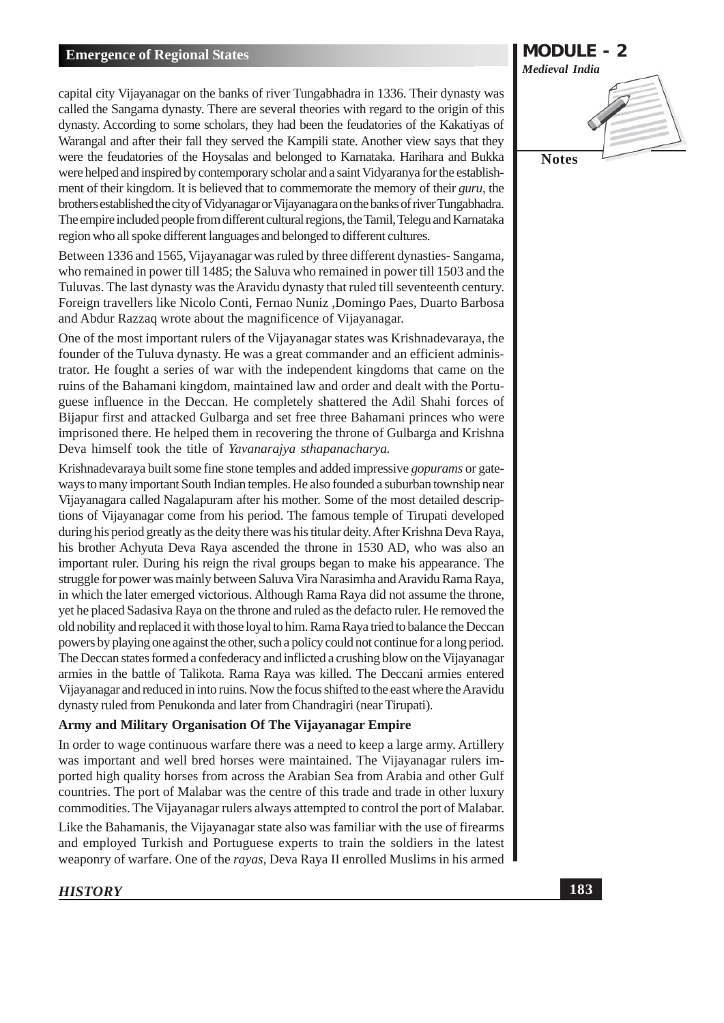capital city Vijayanagar on the banks of river Tungabhadra in 1336. Their dynasty was called the Sangama dynasty. There are several theories with regard to the origin of this dynasty. According to some scholars, they had been the feudatories of the Kakatiyas of Warangal and after their fall they served the Kampili state. Another view says that they were the feudatories of the Hoysalas and belonged to Karnataka. Harihara and Bukka were helped and inspired by contemporary scholar and a saint Vidyaranya for the establishment of their kingdom. It is believed that to commemorate the memory of their guru, the brothers established the city of Vidyanagar or Vijayanagara on the banks of river Tungabhadra. The empire included people from different cultural regions, the Tamil, Telegu and Karnataka region who all spoke different languages and belonged to different cultures.

Between 1336 and 1565, Vijayanagar was ruled by three different dynasties-Sangama, who remained in power till 1485; the Saluva who remained in power till 1503 and the Tuluvas. The last dynasty was the Aravidu dynasty that ruled till seventeenth century. Foreign travellers like Nicolo Conti, Fernao Nuniz, Domingo Paes, Duarto Barbosa and Abdur Razzaq wrote about the magnificence of Vijayanagar.

One of the most important rulers of the Vijayanagar states was Krishnadevaraya, the founder of the Tuluva dynasty. He was a great commander and an efficient administrator. He fought a series of war with the independent kingdoms that came on the ruins of the Bahamani kingdom, maintained law and order and dealt with the Portuguese influence in the Deccan. He completely shattered the Adil Shahi forces of Bijapur first and attacked Gulbarga and set free three Bahamani princes who were imprisoned there. He helped them in recovering the throne of Gulbarga and Krishna Deva himself took the title of Yavanarajya sthapanacharya.

Krishnadevaraya built some fine stone temples and added impressive *gopurams* or gateways to many important South Indian temples. He also founded a suburban township near Vijayanagara called Nagalapuram after his mother. Some of the most detailed descriptions of Vijayanagar come from his period. The famous temple of Tirupati developed during his period greatly as the deity there was his titular deity. After Krishna Deva Raya, his brother Achyuta Deva Raya ascended the throne in 1530 AD, who was also an important ruler. During his reign the rival groups began to make his appearance. The struggle for power was mainly between Saluva Vira Narasimha and Aravidu Rama Raya, in which the later emerged victorious. Although Rama Raya did not assume the throne, yet he placed Sadasiya Raya on the throne and ruled as the defacto ruler. He removed the old nobility and replaced it with those loyal to him. Rama Raya tried to balance the Deccan powers by playing one against the other, such a policy could not continue for a long period. The Deccan states formed a confederacy and inflicted a crushing blow on the Vijayanagar armies in the battle of Talikota. Rama Raya was killed. The Deccani armies entered Vijayanagar and reduced in into ruins. Now the focus shifted to the east where the Aravidu dynasty ruled from Penukonda and later from Chandragiri (near Tirupati).

#### Army and Military Organisation Of The Vijayanagar Empire

In order to wage continuous warfare there was a need to keep a large army. Artillery was important and well bred horses were maintained. The Vijayanagar rulers imported high quality horses from across the Arabian Sea from Arabia and other Gulf countries. The port of Malabar was the centre of this trade and trade in other luxury commodities. The Vijayanagar rulers always attempted to control the port of Malabar.

Like the Bahamanis, the Vijayanagar state also was familiar with the use of firearms and employed Turkish and Portuguese experts to train the soldiers in the latest weaponry of warfare. One of the rayas, Deva Raya II enrolled Muslims in his armed

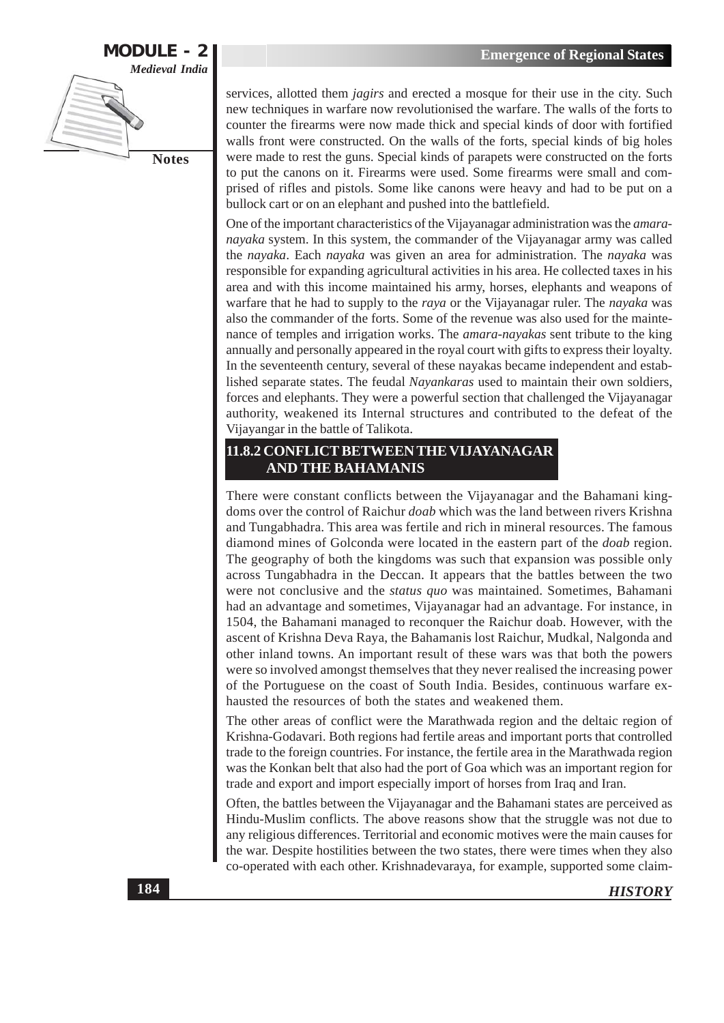

services, allotted them *jagirs* and erected a mosque for their use in the city. Such new techniques in warfare now revolutionised the warfare. The walls of the forts to counter the firearms were now made thick and special kinds of door with fortified walls front were constructed. On the walls of the forts, special kinds of big holes were made to rest the guns. Special kinds of parapets were constructed on the forts to put the canons on it. Firearms were used. Some firearms were small and comprised of rifles and pistols. Some like canons were heavy and had to be put on a bullock cart or on an elephant and pushed into the battlefield.

One of the important characteristics of the Vijayanagar administration was the *amara*nayaka system. In this system, the commander of the Vijayanagar army was called the nayaka. Each nayaka was given an area for administration. The nayaka was responsible for expanding agricultural activities in his area. He collected taxes in his area and with this income maintained his army, horses, elephants and weapons of warfare that he had to supply to the raya or the Vijayanagar ruler. The *nayaka* was also the commander of the forts. Some of the revenue was also used for the maintenance of temples and irrigation works. The *amara-nayakas* sent tribute to the king annually and personally appeared in the royal court with gifts to express their loyalty. In the seventeenth century, several of these nayakas became independent and established separate states. The feudal *Navankaras* used to maintain their own soldiers, forces and elephants. They were a powerful section that challenged the Vijayanagar authority, weakened its Internal structures and contributed to the defeat of the Vijayangar in the battle of Talikota.

## 11.8.2 CONFLICT BETWEEN THE VIJAYANAGAR **AND THE BAHAMANIS**

There were constant conflicts between the Vijayanagar and the Bahamani kingdoms over the control of Raichur doab which was the land between rivers Krishna and Tungabhadra. This area was fertile and rich in mineral resources. The famous diamond mines of Golconda were located in the eastern part of the *doab* region. The geography of both the kingdoms was such that expansion was possible only across Tungabhadra in the Deccan. It appears that the battles between the two were not conclusive and the status quo was maintained. Sometimes, Bahamani had an advantage and sometimes, Vijayanagar had an advantage. For instance, in 1504, the Bahamani managed to reconquer the Raichur doab. However, with the ascent of Krishna Deva Raya, the Bahamanis lost Raichur, Mudkal, Nalgonda and other inland towns. An important result of these wars was that both the powers were so involved amongst themselves that they never realised the increasing power of the Portuguese on the coast of South India. Besides, continuous warfare exhausted the resources of both the states and weakened them.

The other areas of conflict were the Marathwada region and the deltaic region of Krishna-Godavari. Both regions had fertile areas and important ports that controlled trade to the foreign countries. For instance, the fertile area in the Marathwada region was the Konkan belt that also had the port of Goa which was an important region for trade and export and import especially import of horses from Iraq and Iran.

Often, the battles between the Vijayanagar and the Bahamani states are perceived as Hindu-Muslim conflicts. The above reasons show that the struggle was not due to any religious differences. Territorial and economic motives were the main causes for the war. Despite hostilities between the two states, there were times when they also co-operated with each other. Krishnadevaraya, for example, supported some claim-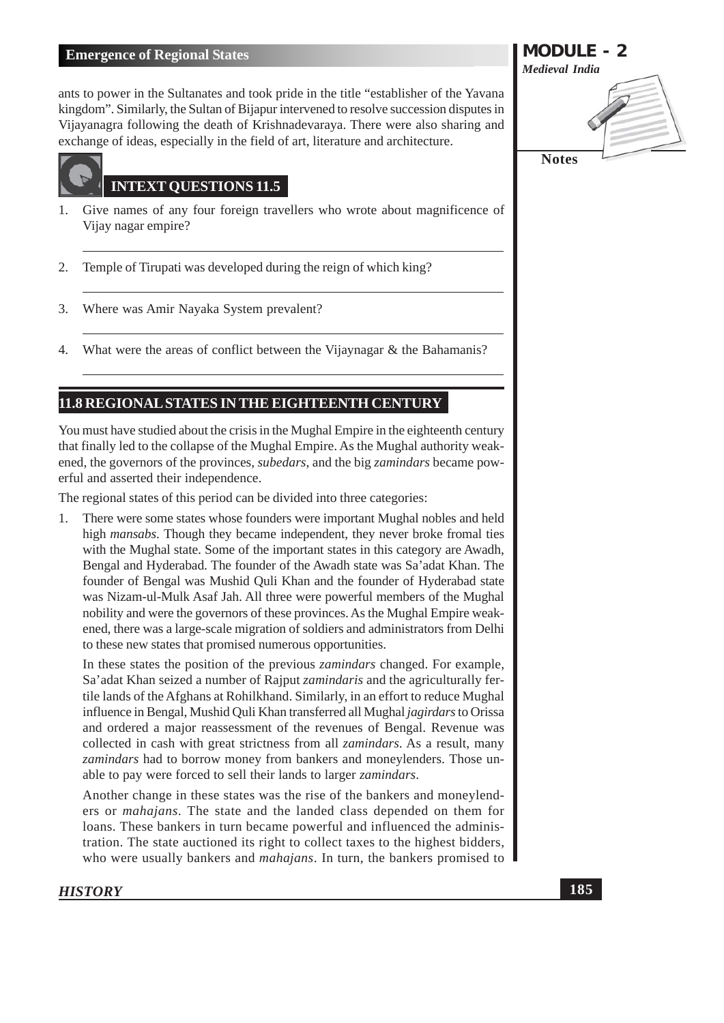ants to power in the Sultanates and took pride in the title "establisher of the Yavana kingdom". Similarly, the Sultan of Bijapur intervened to resolve succession disputes in Vijayanagra following the death of Krishnadevaraya. There were also sharing and exchange of ideas, especially in the field of art, literature and architecture.



# **INTEXT OUESTIONS 11.5**

- Give names of any four foreign travellers who wrote about magnificence of 1. Vijay nagar empire?
- $\overline{2}$ . Temple of Tirupati was developed during the reign of which king?
- Where was Amir Nayaka System prevalent? 3.
- 4. What were the areas of conflict between the Vijaynagar & the Bahamanis?

# 11.8 REGIONAL STATES IN THE EIGHTEENTH CENTURY

You must have studied about the crisis in the Mughal Empire in the eighteenth century that finally led to the collapse of the Mughal Empire. As the Mughal authority weakened, the governors of the provinces, *subedars*, and the big *zamindars* became powerful and asserted their independence.

The regional states of this period can be divided into three categories:

There were some states whose founders were important Mughal nobles and held  $\mathbf{1}$ . high *mansabs*. Though they became independent, they never broke fromal ties with the Mughal state. Some of the important states in this category are Awadh, Bengal and Hyderabad. The founder of the Awadh state was Sa'adat Khan. The founder of Bengal was Mushid Ouli Khan and the founder of Hyderabad state was Nizam-ul-Mulk Asaf Jah. All three were powerful members of the Mughal nobility and were the governors of these provinces. As the Mughal Empire weakened, there was a large-scale migration of soldiers and administrators from Delhi to these new states that promised numerous opportunities.

In these states the position of the previous *zamindars* changed. For example, Sa'adat Khan seized a number of Rajput zamindaris and the agriculturally fertile lands of the Afghans at Rohilkhand. Similarly, in an effort to reduce Mughal influence in Bengal, Mushid Ouli Khan transferred all Mughal *iggirdars* to Orissa and ordered a major reassessment of the revenues of Bengal. Revenue was collected in cash with great strictness from all *zamindars*. As a result, many zamindars had to borrow money from bankers and moneylenders. Those unable to pay were forced to sell their lands to larger zamindars.

Another change in these states was the rise of the bankers and moneylenders or *mahajans*. The state and the landed class depended on them for loans. These bankers in turn became powerful and influenced the administration. The state auctioned its right to collect taxes to the highest bidders, who were usually bankers and *mahajans*. In turn, the bankers promised to

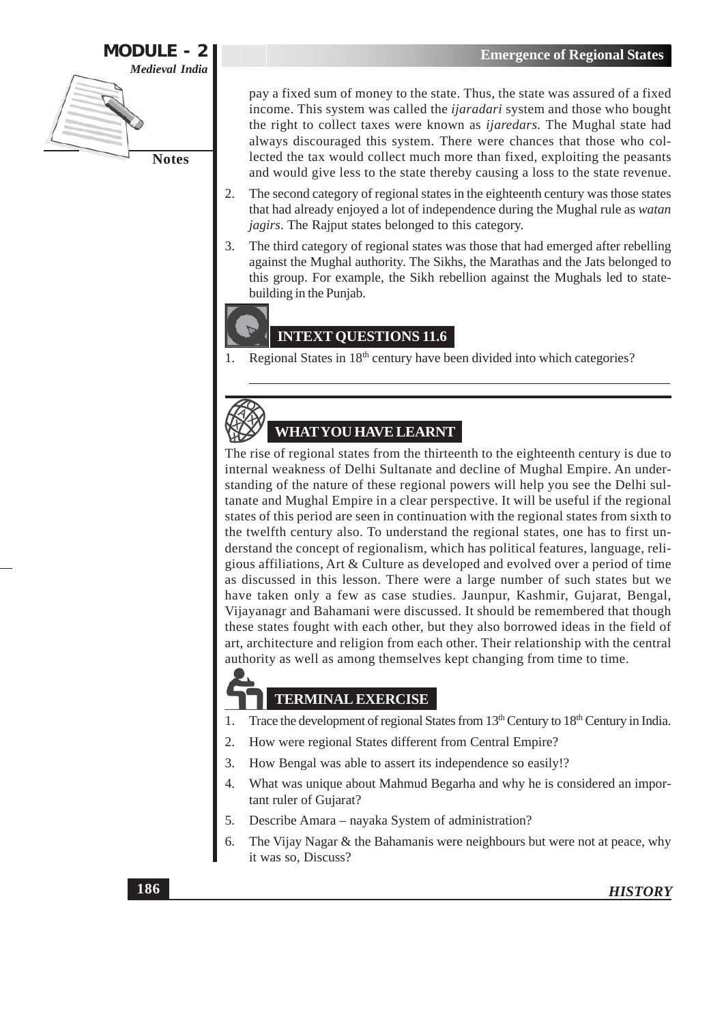

pay a fixed sum of money to the state. Thus, the state was assured of a fixed income. This system was called the *ijaradari* system and those who bought the right to collect taxes were known as *ijaredars*. The Mughal state had always discouraged this system. There were chances that those who collected the tax would collect much more than fixed, exploiting the peasants and would give less to the state thereby causing a loss to the state revenue.

- The second category of regional states in the eighteenth century was those states  $2.$ that had already enjoyed a lot of independence during the Mughal rule as watan *jagirs*. The Rajput states belonged to this category.
- $\overline{3}$ . The third category of regional states was those that had emerged after rebelling against the Mughal authority. The Sikhs, the Marathas and the Jats belonged to this group. For example, the Sikh rebellion against the Mughals led to statebuilding in the Punjab.

# **INTEXT QUESTIONS 11.6**

Regional States in 18<sup>th</sup> century have been divided into which categories? 1.



**WHAT YOU HAVE LEARNT** 

The rise of regional states from the thirteenth to the eighteenth century is due to internal weakness of Delhi Sultanate and decline of Mughal Empire. An understanding of the nature of these regional powers will help you see the Delhi sultanate and Mughal Empire in a clear perspective. It will be useful if the regional states of this period are seen in continuation with the regional states from sixth to the twelfth century also. To understand the regional states, one has to first understand the concept of regionalism, which has political features, language, religious affiliations, Art & Culture as developed and evolved over a period of time as discussed in this lesson. There were a large number of such states but we have taken only a few as case studies. Jaunpur, Kashmir, Gujarat, Bengal, Vijayanagr and Bahamani were discussed. It should be remembered that though these states fought with each other, but they also borrowed ideas in the field of art, architecture and religion from each other. Their relationship with the central authority as well as among themselves kept changing from time to time.

# **TERMINAL EXERCISE**

- Trace the development of regional States from 13<sup>th</sup> Century to 18<sup>th</sup> Century in India. 1.
- How were regional States different from Central Empire?  $\overline{2}$ .
- $3.$ How Bengal was able to assert its independence so easily!?
- $\overline{4}$ . What was unique about Mahmud Begarha and why he is considered an important ruler of Gujarat?
- 5. Describe Amara – nayaka System of administration?
- 6. The Vijay Nagar & the Bahamanis were neighbours but were not at peace, why it was so, Discuss?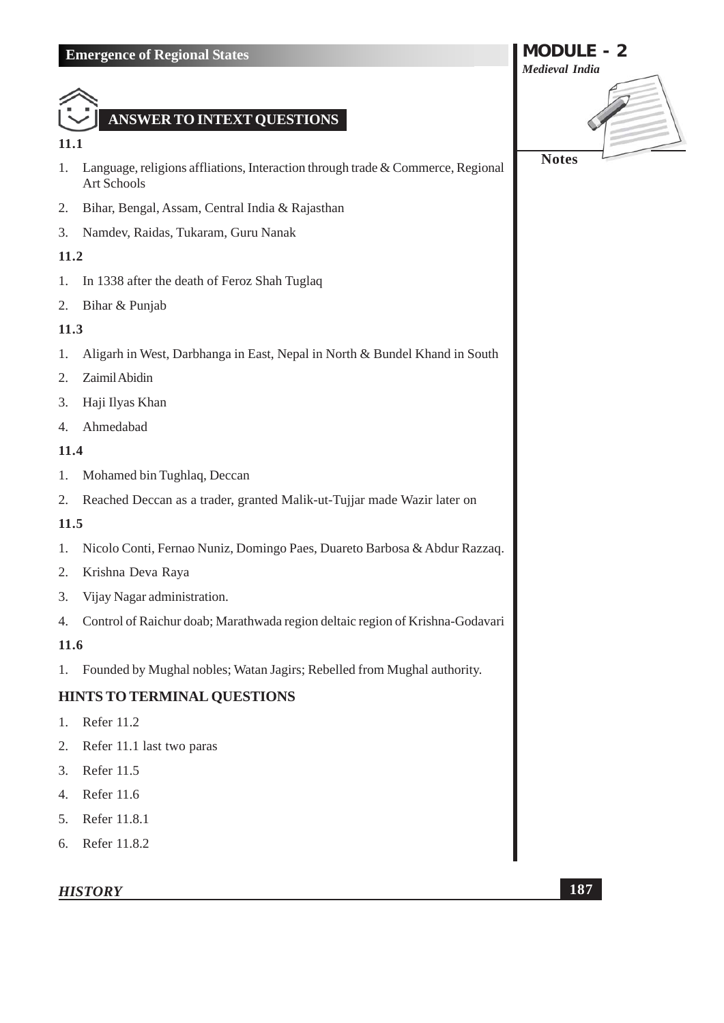

#### 11.1

- Language, religions affliations, Interaction through trade & Commerce, Regional  $1.$ Art Schools
- Bihar, Bengal, Assam, Central India & Rajasthan 2.
- 3. Namdev, Raidas, Tukaram, Guru Nanak

# 11.2

- In 1338 after the death of Feroz Shah Tuglaq 1.
- Bihar & Punjab 2.

# 11.3

- Aligarh in West, Darbhanga in East, Nepal in North & Bundel Khand in South  $1.$
- 2. Zaimil Abidin
- Haji Ilyas Khan 3.
- Ahmedabad  $\overline{4}$ .

## 11.4

- 1. Mohamed bin Tughlaq, Deccan
- Reached Deccan as a trader, granted Malik-ut-Tujjar made Wazir later on 2.

# $11.5$

- Nicolo Conti, Fernao Nuniz, Domingo Paes, Duareto Barbosa & Abdur Razzaq. 1.
- 2. Krishna Deva Raya
- 3. Vijay Nagar administration.
- 4. Control of Raichur doab; Marathwada region deltaic region of Krishna-Godavari

# $11.6$

 $1.$ Founded by Mughal nobles; Watan Jagirs; Rebelled from Mughal authority.

# **HINTS TO TERMINAL QUESTIONS**

- 1. Refer 11.2
- 2. Refer 11.1 last two paras
- 3. Refer 11.5
- 4. Refer 11.6
- 5. Refer 11.8.1
- 6. Refer 11.8.2